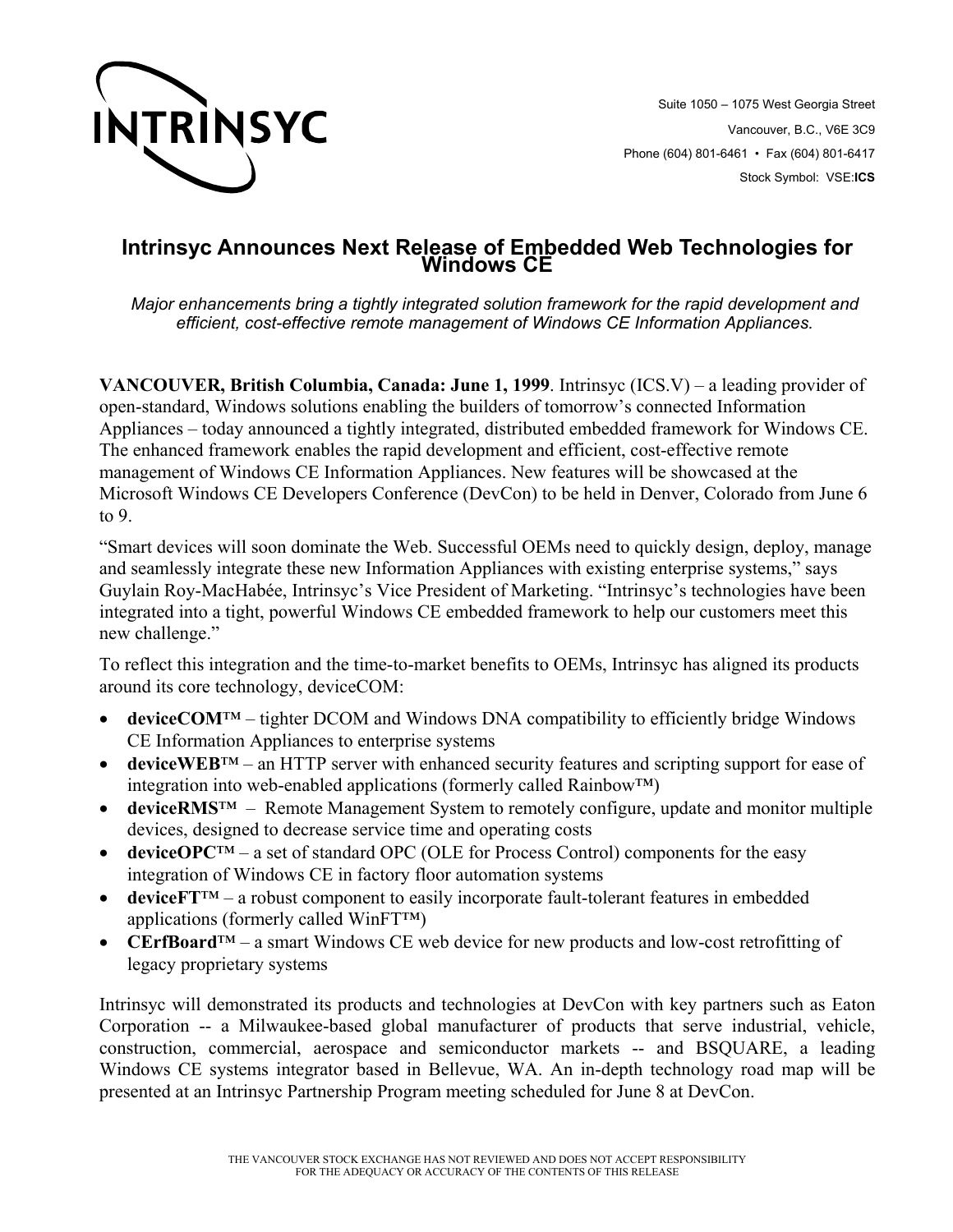

Suite 1050 – 1075 West Georgia Street Vancouver, B.C., V6E 3C9 Phone (604) 801-6461 • Fax (604) 801-6417 Stock Symbol: VSE:**ICS**

## **Intrinsyc Announces Next Release of Embedded Web Technologies for Windows CE**

*Major enhancements bring a tightly integrated solution framework for the rapid development and efficient, cost-effective remote management of Windows CE Information Appliances.* 

**VANCOUVER, British Columbia, Canada: June 1, 1999**. Intrinsyc (ICS.V) – a leading provider of open-standard, Windows solutions enabling the builders of tomorrow's connected Information Appliances – today announced a tightly integrated, distributed embedded framework for Windows CE. The enhanced framework enables the rapid development and efficient, cost-effective remote management of Windows CE Information Appliances. New features will be showcased at the Microsoft Windows CE Developers Conference (DevCon) to be held in Denver, Colorado from June 6 to 9.

"Smart devices will soon dominate the Web. Successful OEMs need to quickly design, deploy, manage and seamlessly integrate these new Information Appliances with existing enterprise systems," says Guylain Roy-MacHabée, Intrinsyc's Vice President of Marketing. "Intrinsyc's technologies have been integrated into a tight, powerful Windows CE embedded framework to help our customers meet this new challenge."

To reflect this integration and the time-to-market benefits to OEMs, Intrinsyc has aligned its products around its core technology, deviceCOM:

- **deviceCOM**™ tighter DCOM and Windows DNA compatibility to efficiently bridge Windows CE Information Appliances to enterprise systems
- **deviceWEB**™ an HTTP server with enhanced security features and scripting support for ease of integration into web-enabled applications (formerly called Rainbow™)
- **deviceRMS**<sup>™</sup> Remote Management System to remotely configure, update and monitor multiple devices, designed to decrease service time and operating costs
- **deviceOPC**™ a set of standard OPC (OLE for Process Control) components for the easy integration of Windows CE in factory floor automation systems
- **deviceFT**™ a robust component to easily incorporate fault-tolerant features in embedded applications (formerly called WinFT™)
- **CErfBoard**™ a smart Windows CE web device for new products and low-cost retrofitting of legacy proprietary systems

Intrinsyc will demonstrated its products and technologies at DevCon with key partners such as Eaton Corporation -- a Milwaukee-based global manufacturer of products that serve industrial, vehicle, construction, commercial, aerospace and semiconductor markets -- and BSQUARE, a leading Windows CE systems integrator based in Bellevue, WA. An in-depth technology road map will be presented at an Intrinsyc Partnership Program meeting scheduled for June 8 at DevCon.